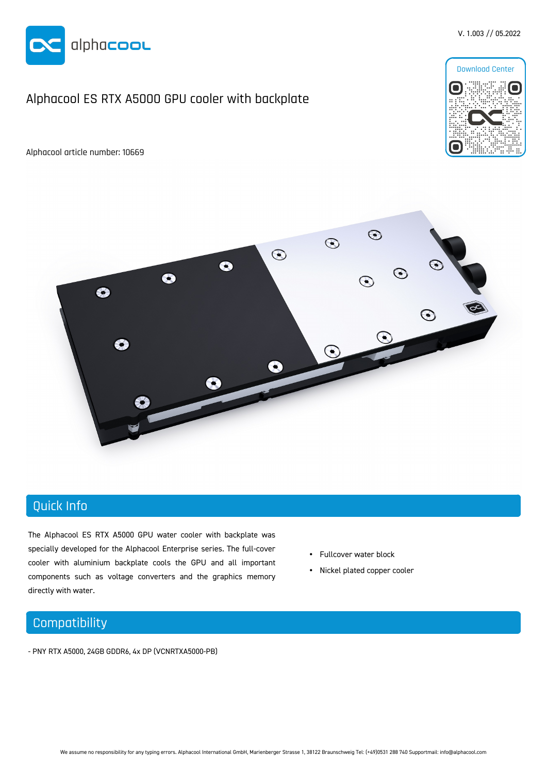

## Alphacool ES RTX A5000 GPU cooler with backplate

Alphacool article number: 10669



V. 1.003 // 05.2022



# Quick Info

The Alphacool ES RTX A5000 GPU water cooler with backplate was specially developed for the Alphacool Enterprise series. The full-cover cooler with aluminium backplate cools the GPU and all important components such as voltage converters and the graphics memory directly with water.

- Fullcover water block
- Nickel plated copper cooler

### **Compatibility**

- PNY RTX A5000, 24GB GDDR6, 4x DP (VCNRTXA5000-PB)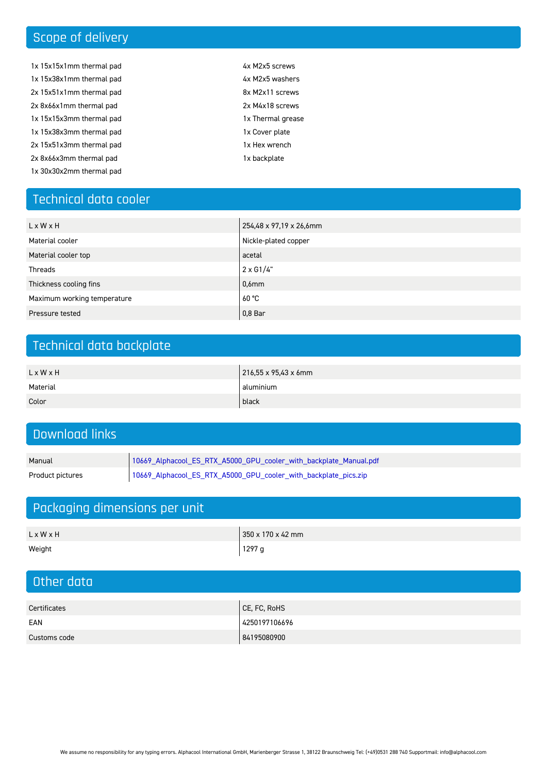# Scope of delivery

- 1x 15x15x1mm thermal pad 1x 15x38x1mm thermal pad 2x 15x51x1mm thermal pad 2x 8x66x1mm thermal pad 1x 15x15x3mm thermal pad 1x 15x38x3mm thermal pad 2x 15x51x3mm thermal pad 2x 8x66x3mm thermal pad 1x 30x30x2mm thermal pad
- 4x M2x5 screws 4x M2x5 washers 8x M2x11 screws 2x M4x18 screws 1x Thermal grease 1x Cover plate
- 1x Hex wrench
- 1x backplate

# Technical data cooler

| L x W x H                   | 254,48 x 97,19 x 26,6mm |
|-----------------------------|-------------------------|
| Material cooler             | Nickle-plated copper    |
| Material cooler top         | acetal                  |
| Threads                     | $2 \times G1/4$ "       |
| Thickness cooling fins      | $0.6$ m m               |
| Maximum working temperature | 60 °C                   |
| Pressure tested             | $0.8$ Bar               |

# Technical data backplate

| L x W x H | 216,55 x 95,43 x 6mm |
|-----------|----------------------|
| Material  | aluminium            |
| Color     | black                |

# Download links

| Manual | 10669_Alphacool_ES_RTX_A5000_GPU_cooler_with_backplate_Manual.pdf                  |
|--------|------------------------------------------------------------------------------------|
|        | Product pictures   10669_Alphacool_ES_RTX_A5000_GPU_cooler_with_backplate_pics.zip |

# Packaging dimensions per unit

| L x W x H | 350 x 170 x 42 mm |
|-----------|-------------------|
| Weight    | '1297 g           |

# Other data

| Certificates | CE, FC, RoHS  |
|--------------|---------------|
| EAN          | 4250197106696 |
| Customs code | 84195080900   |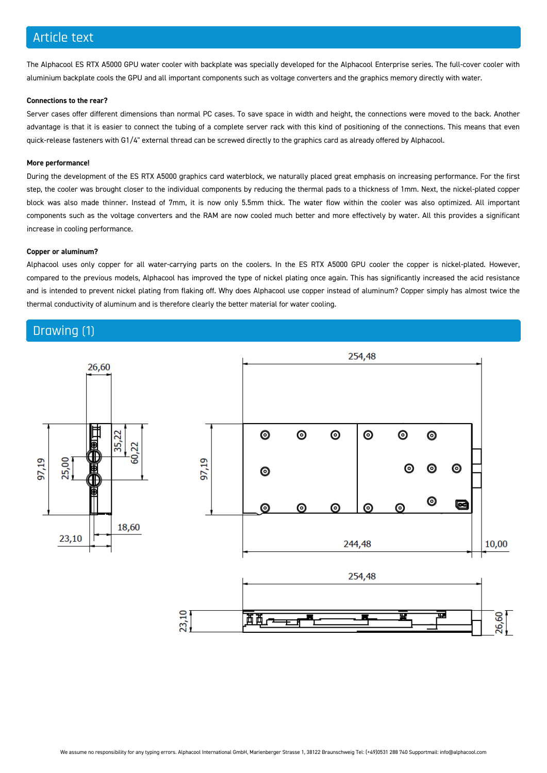### Article text

The Alphacool ES RTX A5000 GPU water cooler with backplate was specially developed for the Alphacool Enterprise series. The full-cover cooler with aluminium backplate cools the GPU and all important components such as voltage converters and the graphics memory directly with water.

#### **Connections to the rear?**

Server cases offer different dimensions than normal PC cases. To save space in width and height, the connections were moved to the back. Another advantage is that it is easier to connect the tubing of a complete server rack with this kind of positioning of the connections. This means that even quick-release fasteners with G1/4" external thread can be screwed directly to the graphics card as already offered by Alphacool.

#### **More performance!**

During the development of the ES RTX A5000 graphics card waterblock, we naturally placed great emphasis on increasing performance. For the first step, the cooler was brought closer to the individual components by reducing the thermal pads to a thickness of 1mm. Next, the nickel-plated copper block was also made thinner. Instead of 7mm, it is now only 5.5mm thick. The water flow within the cooler was also optimized. All important components such as the voltage converters and the RAM are now cooled much better and more effectively by water. All this provides a significant increase in cooling performance.

#### **Copper or aluminum?**

Alphacool uses only copper for all water-carrying parts on the coolers. In the ES RTX A5000 GPU cooler the copper is nickel-plated. However, compared to the previous models, Alphacool has improved the type of nickel plating once again. This has significantly increased the acid resistance and is intended to prevent nickel plating from flaking off. Why does Alphacool use copper instead of aluminum? Copper simply has almost twice the thermal conductivity of aluminum and is therefore clearly the better material for water cooling.

#### Drawing (1)